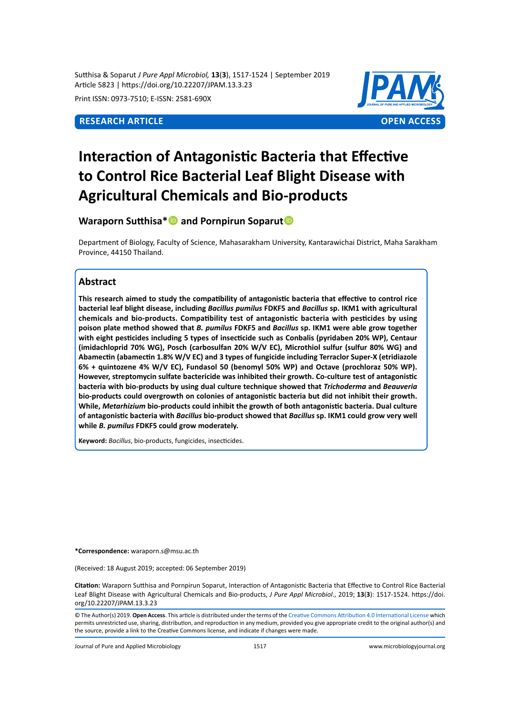Sutthisa & Soparut *J Pure Appl Microbiol,* **13**(**3**), 1517-1524 | September 2019 Article 5823 | https://doi.org/10.22207/JPAM.13.3.23

Print ISSN: 0973-7510; E-ISSN: 2581-690X



# **Interaction of Antagonistic Bacteria that Effective to Control Rice Bacterial Leaf Blight Disease with Agricultural Chemicals and Bio-products**

**Waraporn Sutthisa\*** and Pornpirun Soparut **D** 

Department of Biology, Faculty of Science, Mahasarakham University, Kantarawichai District, Maha Sarakham Province, 44150 Thailand.

# **Abstract**

**This research aimed to study the compatibility of antagonistic bacteria that effective to control rice bacterial leaf blight disease, including** *Bacillus pumilus* **FDKF5 and** *Bacillus* **sp. IKM1 with agricultural chemicals and bio-products. Compatibility test of antagonistic bacteria with pesticides by using poison plate method showed that** *B. pumilus* **FDKF5 and** *Bacillus* **sp. IKM1 were able grow together with eight pesticides including 5 types of insecticide such as Conbalis (pyridaben 20% WP), Centaur (imidachloprid 70% WG), Posch (carbosulfan 20% W/V EC), Microthiol sulfur (sulfur 80% WG) and Abamectin (abamectin 1.8% W/V EC) and 3 types of fungicide including Terraclor Super-X (etridiazole 6% + quintozene 4% W/V EC), Fundasol 50 (benomyl 50% WP) and Octave (prochloraz 50% WP). However, streptomycin sulfate bactericide was inhibited their growth. Co-culture test of antagonistic bacteria with bio-products by using dual culture technique showed that** *Trichoderma* **and** *Beauveria* **bio-products could overgrowth on colonies of antagonistic bacteria but did not inhibit their growth. While,** *Metarhizium* **bio-products could inhibit the growth of both antagonistic bacteria. Dual culture of antagonistic bacteria with** *Bacillus* **bio-product showed that** *Bacillus* **sp. IKM1 could grow very well while** *B. pumilus* **FDKF5 could grow moderately.**

**Keyword:** *Bacillus*, bio-products, fungicides, insecticides.

**\*Correspondence:** waraporn.s@msu.ac.th

(Received: 18 August 2019; accepted: 06 September 2019)

**Citation:** Waraporn Sutthisa and Pornpirun Soparut, Interaction of Antagonistic Bacteria that Effective to Control Rice Bacterial Leaf Blight Disease with Agricultural Chemicals and Bio-products, *J Pure Appl Microbiol*., 2019; **13**(**3**): 1517-1524. https://doi. org/10.22207/JPAM.13.3.23

© The Author(s) 2019. **Open Access**. This article is distributed under the terms of the [Creative Commons Attribution 4.0 International License](https://creativecommons.org/licenses/by/4.0/) which permits unrestricted use, sharing, distribution, and reproduction in any medium, provided you give appropriate credit to the original author(s) and the source, provide a link to the Creative Commons license, and indicate if changes were made.

Journal of Pure and Applied Microbiology 1517 www.microbiologyjournal.org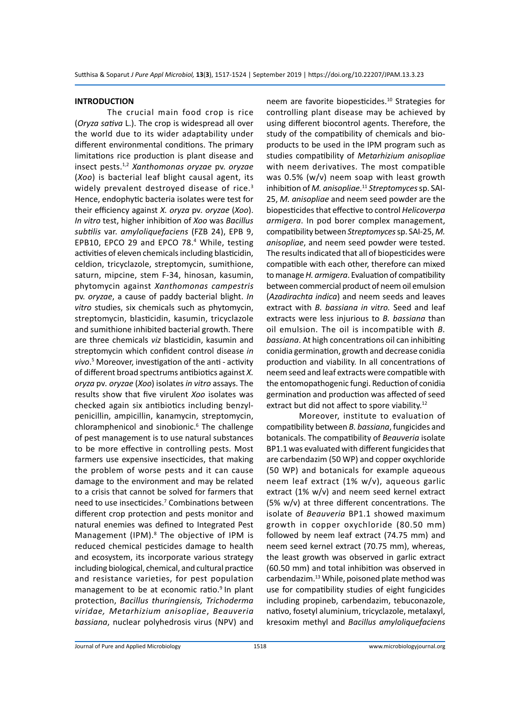#### **INTRODUCTION**

The crucial main food crop is rice (*Oryza sativa* L.). The crop is widespread all over the world due to its wider adaptability under different environmental conditions. The primary limitations rice production is plant disease and insect pests.1,2 *Xanthomonas oryzae* pv. *oryzae* (*Xoo*) is bacterial leaf blight causal agent, its widely prevalent destroyed disease of rice.<sup>3</sup> Hence, endophytic bacteria isolates were test for their efficiency against *X. oryza* pv*. oryzae* (*Xoo*). *In vitro* test, higher inhibition of *Xoo* was *Bacillus subtilis* var. *amyloliquefaciens* (FZB 24), EPB 9, EPB10, EPCO 29 and EPCO 78.4 While, testing activities of eleven chemicals including blasticidin, celdion, tricyclazole, streptomycin, sumithione, saturn, mipcine, stem F-34, hinosan, kasumin, phytomycin against *Xanthomonas campestris* pv. *oryzae*, a cause of paddy bacterial blight. *In vitro* studies, six chemicals such as phytomycin, streptomycin, blasticidin, kasumin, tricyclazole and sumithione inhibited bacterial growth. There are three chemicals *viz* blasticidin, kasumin and streptomycin which confident control disease *in vivo*. <sup>5</sup> Moreover, investigation of the anti - activity of different broad spectrums antibiotics against *X. oryza* pv*. oryzae* (*Xoo*) isolates *in vitro* assays. The results show that five virulent *Xoo* isolates was checked again six antibiotics including benzylpenicillin, ampicillin, kanamycin, streptomycin, chloramphenicol and sinobionic.<sup>6</sup> The challenge of pest management is to use natural substances to be more effective in controlling pests. Most farmers use expensive insecticides, that making the problem of worse pests and it can cause damage to the environment and may be related to a crisis that cannot be solved for farmers that need to use insecticides.<sup>7</sup> Combinations between different crop protection and pests monitor and natural enemies was defined to Integrated Pest Management (IPM).<sup>8</sup> The objective of IPM is reduced chemical pesticides damage to health and ecosystem, its incorporate various strategy including biological, chemical, and cultural practice and resistance varieties, for pest population management to be at economic ratio.<sup>9</sup> In plant protection, *Bacillus thuringiensis, Trichoderma viridae, Metarhizium anisopliae*, *Beauveria bassiana*, nuclear polyhedrosis virus (NPV) and

neem are favorite biopesticides.<sup>10</sup> Strategies for controlling plant disease may be achieved by using different biocontrol agents. Therefore, the study of the compatibility of chemicals and bioproducts to be used in the IPM program such as studies compatibility of *Metarhizium anisopliae* with neem derivatives. The most compatible was 0.5% (w/v) neem soap with least growth inhibition of *M. anisopliae*. <sup>11</sup> *Streptomyces* sp. SAI-25, *M. anisopliae* and neem seed powder are the biopesticides that effective to control *Helicoverpa armigera*. In pod borer complex management, compatibility between *Streptomyces* sp. SAI-25, *M. anisopliae*, and neem seed powder were tested. The results indicated that all of biopesticides were compatible with each other, therefore can mixed to manage *H. armigera*. Evaluation of compatibility between commercial product of neem oil emulsion (*Azadirachta indica*) and neem seeds and leaves extract with *B. bassiana in vitro.* Seed and leaf extracts were less injurious to *B. bassiana* than oil emulsion. The oil is incompatible with *B. bassiana*. At high concentrations oil can inhibiting conidia germination, growth and decrease conidia production and viability. In all concentrations of neem seed and leaf extracts were compatible with the entomopathogenic fungi. Reduction of conidia germination and production was affected of seed extract but did not affect to spore viability.<sup>12</sup>

Moreover, institute to evaluation of compatibility between *B. bassiana*, fungicides and botanicals. The compatibility of *Beauveria* isolate BP1.1 was evaluated with different fungicides that are carbendazim (50 WP) and copper oxychloride (50 WP) and botanicals for example aqueous neem leaf extract (1% w/v), aqueous garlic extract (1% w/v) and neem seed kernel extract (5% w/v) at three different concentrations. The isolate of *Beauveria* BP1.1 showed maximum growth in copper oxychloride (80.50 mm) followed by neem leaf extract (74.75 mm) and neem seed kernel extract (70.75 mm), whereas, the least growth was observed in garlic extract (60.50 mm) and total inhibition was observed in carbendazim.13 While, poisoned plate method was use for compatibility studies of eight fungicides including propineb, carbendazim, tebuconazole, nativo, fosetyl aluminium, tricyclazole, metalaxyl, kresoxim methyl and *Bacillus amyloliquefaciens*

Journal of Pure and Applied Microbiology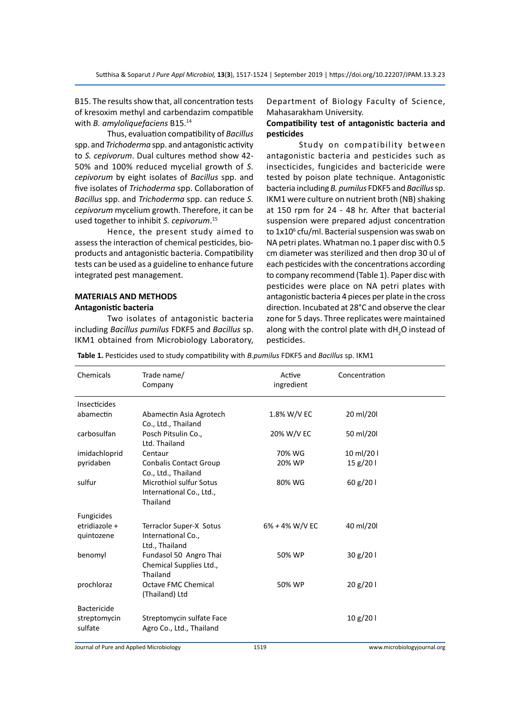B15. The results show that, all concentration tests of kresoxim methyl and carbendazim compatible with *B. amyloliquefaciens* B15.14

Thus, evaluation compatibility of *Bacillus* spp. and *Trichoderma* spp. and antagonistic activity to *S. cepivorum*. Dual cultures method show 42- 50% and 100% reduced mycelial growth of *S. cepivorum* by eight isolates of *Bacillus* spp. and five isolates of *Trichoderma* spp. Collaboration of *Bacillus* spp. and *Trichoderma* spp. can reduce *S. cepivorum* mycelium growth. Therefore, it can be used together to inhibit *S. cepivorum*. 15

Hence, the present study aimed to assess the interaction of chemical pesticides, bioproducts and antagonistic bacteria. Compatibility tests can be used as a guideline to enhance future integrated pest management.

# **MATERIALS AND METHODS Antagonistic bacteria**

Two isolates of antagonistic bacteria including *Bacillus pumilus* FDKF5 and *Bacillus* sp. IKM1 obtained from Microbiology Laboratory, Department of Biology Faculty of Science, Mahasarakham University.

### **Compatibility test of antagonistic bacteria and pesticides**

Study on compatibility between antagonistic bacteria and pesticides such as insecticides, fungicides and bactericide were tested by poison plate technique. Antagonistic bacteria including *B. pumilus* FDKF5 and *Bacillus* sp. IKM1 were culture on nutrient broth (NB) shaking at 150 rpm for 24 - 48 hr. After that bacterial suspension were prepared adjust concentration to 1x10<sup>6</sup> cfu/ml. Bacterial suspension was swab on NA petri plates. Whatman no.1 paper disc with 0.5 cm diameter was sterilized and then drop 30 ul of each pesticides with the concentrations according to company recommend (Table 1). Paper disc with pesticides were place on NA petri plates with antagonistic bacteria 4 pieces per plate in the cross direction. Incubated at 28°C and observe the clear zone for 5 days. Three replicates were maintained along with the control plate with dH<sub>2</sub>O instead of pesticides.

| Chemicals                                     | Trade name/<br>Company                                                 | Active<br>ingredient | Concentration |
|-----------------------------------------------|------------------------------------------------------------------------|----------------------|---------------|
| <b>Insecticides</b>                           |                                                                        |                      |               |
| abamectin                                     | Abamectin Asia Agrotech<br>Co., Ltd., Thailand                         | 1.8% W/V EC          | 20 ml/20l     |
| carbosulfan                                   | Posch Pitsulin Co.,<br>Ltd. Thailand                                   | 20% W/V EC           | 50 ml/20l     |
| imidachloprid                                 | Centaur                                                                | 70% WG               | 10 ml/20 l    |
| pyridaben                                     | <b>Conbalis Contact Group</b><br>Co., Ltd., Thailand                   | 20% WP               | 15 g/20 l     |
| sulfur                                        | <b>Microthiol sulfur Sotus</b><br>International Co., Ltd.,<br>Thailand | 80% WG               | 60 g/20 l     |
| <b>Fungicides</b>                             |                                                                        |                      |               |
| etridiazole +<br>quintozene                   | Terraclor Super-X Sotus<br>International Co.,<br>Ltd., Thailand        | $6\% + 4\%$ W/V EC   | 40 ml/20l     |
| benomyl                                       | Fundasol 50 Angro Thai<br>Chemical Supplies Ltd.,<br>Thailand          | 50% WP               | 30 g/20 l     |
| prochloraz                                    | <b>Octave FMC Chemical</b><br>(Thailand) Ltd                           | 50% WP               | 20 g/20 l     |
| <b>Bactericide</b><br>streptomycin<br>sulfate | Streptomycin sulfate Face<br>Agro Co., Ltd., Thailand                  |                      | 10 g/20 l     |

**Table 1.** Pesticides used to study compatibility with *B.pumilus* FDKF5 and *Bacillus* sp. IKM1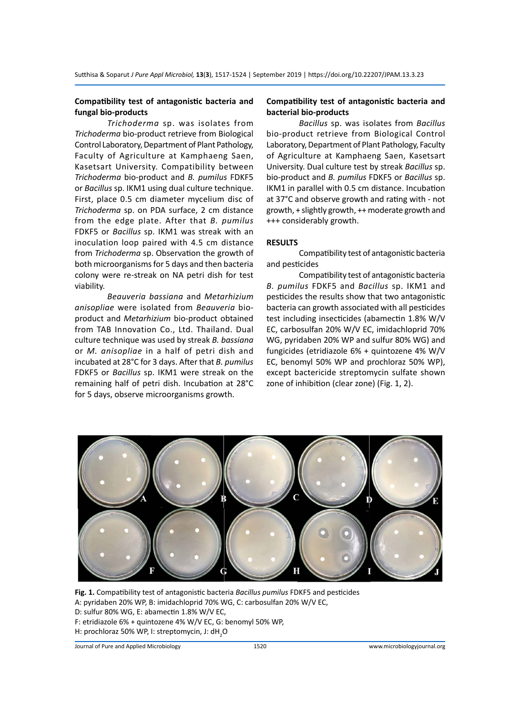# **Compatibility test of antagonistic bacteria and fungal bio-products**

*Trichoderma* sp. was isolates from *Trichoderma* bio-product retrieve from Biological Control Laboratory, Department of Plant Pathology, Faculty of Agriculture at Kamphaeng Saen, Kasetsart University. Compatibility between *Trichoderma* bio-product and *B. pumilus* FDKF5 or *Bacillus* sp. IKM1 using dual culture technique. First, place 0.5 cm diameter mycelium disc of *Trichoderma* sp. on PDA surface, 2 cm distance from the edge plate. After that *B. pumilus*  FDKF5 or *Bacillus* sp. IKM1 was streak with an inoculation loop paired with 4.5 cm distance from *Trichoderma* sp. Observation the growth of both microorganisms for 5 days and then bacteria colony were re-streak on NA petri dish for test viability.

*Beauveria bassiana* and *Metarhizium anisopliae* were isolated from *Beauveria* bioproduct and *Metarhizium* bio-product obtained from TAB Innovation Co., Ltd. Thailand. Dual culture technique was used by streak *B. bassiana*  or *M. anisopliae* in a half of petri dish and incubated at 28°C for 3 days. After that *B. pumilus*  FDKF5 or *Bacillus* sp. IKM1 were streak on the remaining half of petri dish. Incubation at 28°C for 5 days, observe microorganisms growth.

# **Compatibility test of antagonistic bacteria and bacterial bio-products**

*Bacillus* sp. was isolates from *Bacillus* bio-product retrieve from Biological Control Laboratory, Department of Plant Pathology, Faculty of Agriculture at Kamphaeng Saen, Kasetsart University. Dual culture test by streak *Bacillus* sp. bio-product and *B. pumilus* FDKF5 or *Bacillus* sp. IKM1 in parallel with 0.5 cm distance. Incubation at 37°C and observe growth and rating with - not growth, + slightly growth, ++ moderate growth and +++ considerably growth.

#### **RESULTS**

Compatibility test of antagonistic bacteria and pesticides

Compatibility test of antagonistic bacteria *B. pumilus* FDKF5 and *Bacillus* sp. IKM1 and pesticides the results show that two antagonistic bacteria can growth associated with all pesticides test including insecticides (abamectin 1.8% W/V EC, carbosulfan 20% W/V EC, imidachloprid 70% WG, pyridaben 20% WP and sulfur 80% WG) and fungicides (etridiazole 6% + quintozene 4% W/V EC, benomyl 50% WP and prochloraz 50% WP), except bactericide streptomycin sulfate shown zone of inhibition (clear zone) (Fig. 1, 2).



**Fig. 1.** Compatibility test of antagonistic bacteria *Bacillus pumilus* FDKF5 and pesticides A: pyridaben 20% WP, B: imidachloprid 70% WG, C: carbosulfan 20% W/V EC, D: sulfur 80% WG, E: abamectin 1.8% W/V EC, F: etridiazole 6% + quintozene 4% W/V EC, G: benomyl 50% WP, H: prochloraz 50% WP, I: streptomycin, J: dH<sub>2</sub>O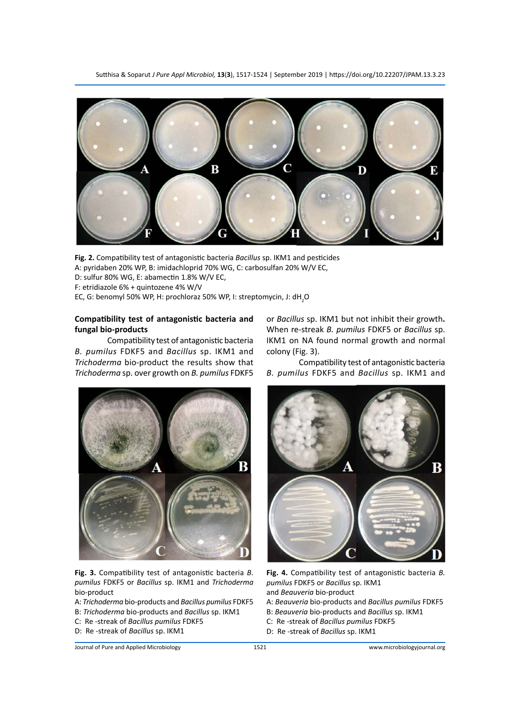Sutthisa & Soparut *J Pure Appl Microbiol,* **13**(**3**), 1517-1524 | September 2019 | https://doi.org/10.22207/JPAM.13.3.23



**Fig. 2.** Compatibility test of antagonistic bacteria *Bacillus* sp. IKM1 and pesticides A: pyridaben 20% WP, B: imidachloprid 70% WG, C: carbosulfan 20% W/V EC, D: sulfur 80% WG, E: abamectin 1.8% W/V EC,

F: etridiazole 6% + quintozene 4% W/V

EC, G: benomyl 50% WP, H: prochloraz 50% WP, I: streptomycin, J: dH<sub>2</sub>O

# **Compatibility test of antagonistic bacteria and fungal bio-products**

Compatibility test of antagonistic bacteria *B. pumilus* FDKF5 and *Bacillus* sp. IKM1 and *Trichoderma* bio-product the results show that *Trichoderma* sp. over growth on *B. pumilus* FDKF5



**Fig. 3.** Compatibility test of antagonistic bacteria *B. pumilus* FDKF5 or *Bacillus* sp. IKM1 and *Trichoderma*  bio-product

A: *Trichoderma* bio-products and *Bacillus pumilus* FDKF5

- B: *Trichoderma* bio-products and *Bacillus* sp. IKM1
- C: Re -streak of *Bacillus pumilus* FDKF5
- D: Re -streak of *Bacillus* sp. IKM1

or *Bacillus* sp. IKM1 but not inhibit their growth**.**  When re-streak *B. pumilus* FDKF5 or *Bacillus* sp. IKM1 on NA found normal growth and normal colony (Fig. 3).

Compatibility test of antagonistic bacteria *B. pumilus* FDKF5 and *Bacillus* sp. IKM1 and



**Fig. 4.** Compatibility test of antagonistic bacteria *B. pumilus* FDKF5 or *Bacillus* sp. IKM1 and *Beauveria* bio-product

- A: *Beauveria* bio-products and *Bacillus pumilus* FDKF5
- B: *Beauveria* bio-products and *Bacillus* sp. IKM1
- C: Re -streak of *Bacillus pumilus* FDKF5
- D: Re -streak of *Bacillus* sp. IKM1

Journal of Pure and Applied Microbiology 1521 www.microbiologyjournal.org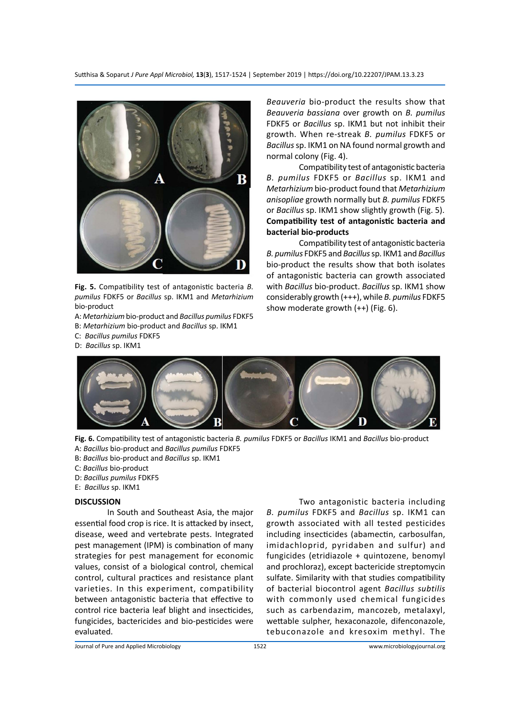Sutthisa & Soparut *J Pure Appl Microbiol,* **13**(**3**), 1517-1524 | September 2019 | https://doi.org/10.22207/JPAM.13.3.23



**Fig. 5.** Compatibility test of antagonistic bacteria *B. pumilus* FDKF5 or *Bacillus* sp. IKM1 and *Metarhizium*  bio-product

- A: *Metarhizium* bio-product and *Bacillus pumilus* FDKF5
- B: *Metarhizium* bio-product and *Bacillus* sp. IKM1
- C: *Bacillus pumilus* FDKF5
- D: *Bacillus* sp. IKM1

*Beauveria* bio-product the results show that *Beauveria bassiana* over growth on *B. pumilus* FDKF5 or *Bacillus* sp. IKM1 but not inhibit their growth. When re-streak *B. pumilus* FDKF5 or *Bacillus* sp. IKM1 on NA found normal growth and normal colony (Fig. 4).

Compatibility test of antagonistic bacteria *B. pumilus* FDKF5 or *Bacillus* sp. IKM1 and *Metarhizium* bio-product found that *Metarhizium anisopliae* growth normally but *B. pumilus* FDKF5 or *Bacillus* sp. IKM1 show slightly growth (Fig. 5). **Compatibility test of antagonistic bacteria and bacterial bio-products**

 Compatibility test of antagonistic bacteria *B. pumilus* FDKF5 and *Bacillus* sp. IKM1 and *Bacillus*  bio-product the results show that both isolates of antagonistic bacteria can growth associated with *Bacillus* bio-product. *Bacillus* sp. IKM1 show considerably growth (+++), while *B. pumilus* FDKF5 show moderate growth (++) (Fig. 6).



**Fig. 6.** Compatibility test of antagonistic bacteria *B. pumilus* FDKF5 or *Bacillus* IKM1 and *Bacillus* bio-product A: *Bacillus* bio-product and *Bacillus pumilus* FDKF5

- B: *Bacillus* bio-product and *Bacillus* sp. IKM1
- C: *Bacillus* bio-product
- D: *Bacillus pumilus* FDKF5
- E: *Bacillus* sp. IKM1

#### **DISCUSSION**

In South and Southeast Asia, the major essential food crop is rice. It is attacked by insect, disease, weed and vertebrate pests. Integrated pest management (IPM) is combination of many strategies for pest management for economic values, consist of a biological control, chemical control, cultural practices and resistance plant varieties. In this experiment, compatibility between antagonistic bacteria that effective to control rice bacteria leaf blight and insecticides, fungicides, bactericides and bio-pesticides were evaluated.

Two antagonistic bacteria including *B. pumilus* FDKF5 and *Bacillus* sp. IKM1 can growth associated with all tested pesticides including insecticides (abamectin, carbosulfan, imidachloprid, pyridaben and sulfur) and fungicides (etridiazole + quintozene, benomyl and prochloraz), except bactericide streptomycin sulfate. Similarity with that studies compatibility of bacterial biocontrol agent *Bacillus subtilis* with commonly used chemical fungicides such as carbendazim, mancozeb, metalaxyl, wettable sulpher, hexaconazole, difenconazole, tebuconazole and kresoxim methyl. The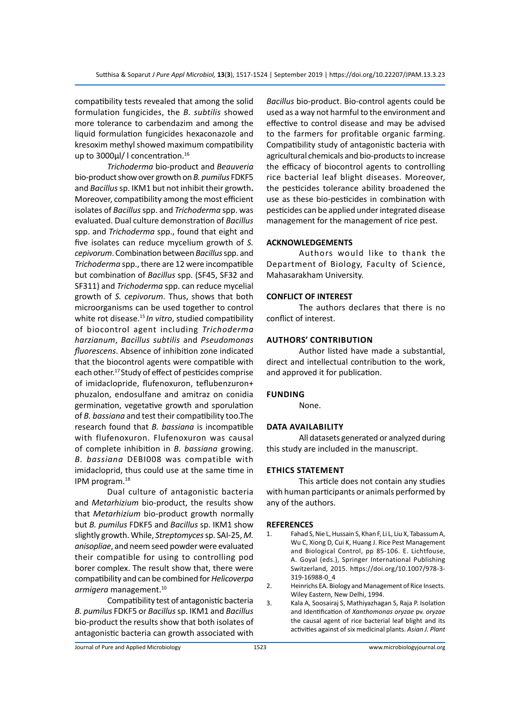compatibility tests revealed that among the solid formulation fungicides, the *B. subtilis* showed more tolerance to carbendazim and among the liquid formulation fungicides hexaconazole and kresoxim methyl showed maximum compatibility up to 3000µl/ I concentration.<sup>16</sup>

*Trichoderma* bio-product and *Beauveria*  bio-product show over growth on *B. pumilus* FDKF5 and *Bacillus* sp. IKM1 but not inhibit their growth**.**  Moreover, compatibility among the most efficient isolates of *Bacillus* spp. and *Trichoderma* spp. was evaluated. Dual culture demonstration of *Bacillus*  spp. and *Trichoderma* spp., found that eight and five isolates can reduce mycelium growth of *S. cepivorum*. Combination between *Bacillus* spp. and *Trichoderma* spp., there are 12 were incompatible but combination of *Bacillus* spp. (SF45, SF32 and SF311) and *Trichoderma* spp. can reduce mycelial growth of *S. cepivorum*. Thus, shows that both microorganisms can be used together to control white rot disease.15 *In vitro*, studied compatibility of biocontrol agent including *Trichoderma harzianum*, *Bacillus subtilis* and *Pseudomonas fluorescens*. Absence of inhibition zone indicated that the biocontrol agents were compatible with each other.<sup>17</sup> Study of effect of pesticides comprise of imidaclopride, flufenoxuron, teflubenzuron+ phuzalon, endosulfane and amitraz on conidia germination, vegetative growth and sporulation of *B. bassiana* and test their compatibility too.The research found that *B. bassiana* is incompatible with flufenoxuron. Flufenoxuron was causal of complete inhibition in *B. bassiana* growing. *B. bassiana* DEBI008 was compatible with imidacloprid, thus could use at the same time in IPM program.<sup>18</sup>

Dual culture of antagonistic bacteria and *Metarhizium* bio-product, the results show that *Metarhizium* bio-product growth normally but *B. pumilus* FDKF5 and *Bacillus* sp. IKM1 show slightly growth. While, *Streptomyces* sp. SAI-25, *M. anisopliae*, and neem seed powder were evaluated their compatible for using to controlling pod borer complex. The result show that, there were compatibility and can be combined for *Helicoverpa*  armigera management.<sup>10</sup>

Compatibility test of antagonistic bacteria *B. pumilus* FDKF5 or *Bacillus* sp. IKM1 and *Bacillus*  bio-product the results show that both isolates of antagonistic bacteria can growth associated with *Bacillus* bio-product. Bio-control agents could be used as a way not harmful to the environment and effective to control disease and may be advised to the farmers for profitable organic farming. Compatibility study of antagonistic bacteria with agricultural chemicals and bio-products to increase the efficacy of biocontrol agents to controlling rice bacterial leaf blight diseases. Moreover, the pesticides tolerance ability broadened the use as these bio-pesticides in combination with pesticides can be applied under integrated disease management for the management of rice pest.

#### **ACKNOWLEDGEMENTS**

Authors would like to thank the Department of Biology, Faculty of Science, Mahasarakham University.

#### **CONFLICT OF INTEREST**

The authors declares that there is no conflict of interest.

#### **Authors' Contribution**

Author listed have made a substantial, direct and intellectual contribution to the work, and approved it for publication.

#### **Funding**

None.

#### **Data availability**

All datasets generated or analyzed during this study are included in the manuscript.

#### **Ethics Statement**

This article does not contain any studies with human participants or animals performed by any of the authors.

#### **REFERENCES**

- 1. Fahad S, Nie L, Hussain S, Khan F, Li L, Liu X, Tabassum A, Wu C, Xiong D, Cui K, Huang J. Rice Pest Management and Biological Control, pp 85-106. E. Lichtfouse, A. Goyal (eds.), Springer International Publishing Switzerland, 2015. https://doi.org/10.1007/978-3- 319-16988-0\_4
- 2. Heinrichs EA. Biology and Management of Rice Insects. Wiley Eastern, New Delhi, 1994.
- 3. Kala A, Soosairaj S, Mathiyazhagan S, Raja P. Isolation and Identification of *Xanthomonas oryzae* pv. *oryzae*  the causal agent of rice bacterial leaf blight and its activities against of six medicinal plants. *Asian J. Plant*